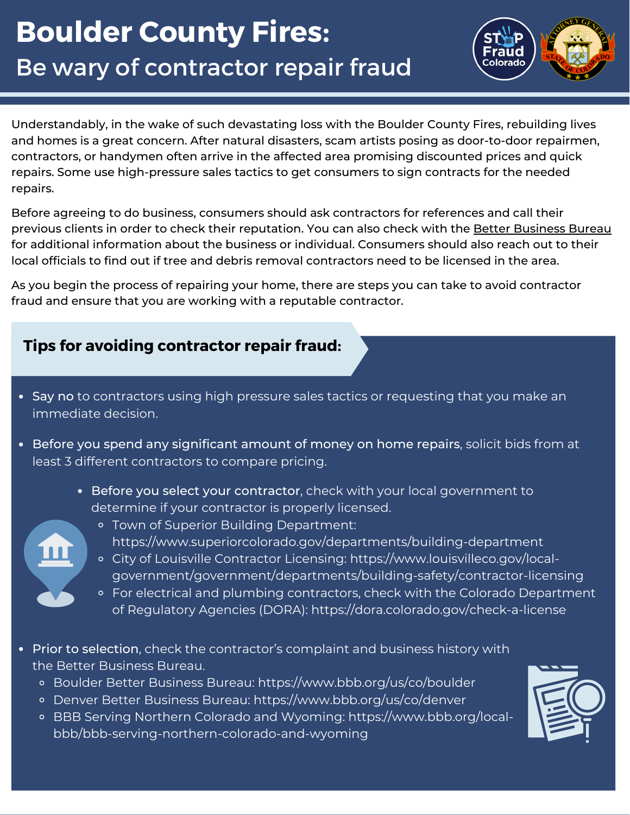# **Boulder County Fires:** Be wary of contractor repair fraud



Understandably, in the wake of such devastating loss with the Boulder County Fires, rebuilding lives and homes is a great concern. After natural disasters, scam artists posing as door-to-door repairmen, contractors, or handymen often arrive in the affected area promising discounted prices and quick repairs. Some use high-pressure sales tactics to get consumers to sign contracts for the needed repairs.

Before agreeing to do business, consumers should ask contractors for references and call their previous clients in order to check their reputation. You can also check with the Better [Business](https://www.bbb.org/) Bureau for additional information about the business or individual. Consumers should also reach out to their local officials to find out if tree and debris removal contractors need to be licensed in the area.

As you begin the process of repairing your home, there are steps you can take to avoid contractor fraud and ensure that you are working with a reputable contractor.

### **Tips for avoiding contractor repair fraud:**

- Say no to contractors using high pressure sales tactics or requesting that you make an immediate decision.
- Before you spend any significant amount of money on home repairs, solicit bids from at least 3 different contractors to compare pricing.
	- Before you select your contractor, check with your [local](https://www.colorado.gov/government/government/local-government.html) government to determine if your contractor is properly licensed.
	-
- Town of Superior Building Department:
- <https://www.superiorcolorado.gov/departments/building-department>
- City of Louisville Contractor Licensing: https://www.louisvilleco.gov/local[government/government/departments/building-safety/contractor-licensing](https://www.louisvilleco.gov/local-government/government/departments/building-safety/contractor-licensing)
- For electrical and plumbing contractors, check with the Colorado Department of Regulatory Agencies (DORA): <https://dora.colorado.gov/check-a-license>
- Prior to selection, check the contractor's complaint and business history with the Better Business Bureau.
	- Boulder Better Business Bureau: <https://www.bbb.org/us/co/boulder>
	- Denver Better Business Bureau: <https://www.bbb.org/us/co/denver>
	- BBB Serving Northern Colorado and Wyoming: https://www.bbb.org/local[bbb/bbb-serving-northern-colorado-and-wyoming](https://www.bbb.org/local-bbb/bbb-serving-northern-colorado-and-wyoming)